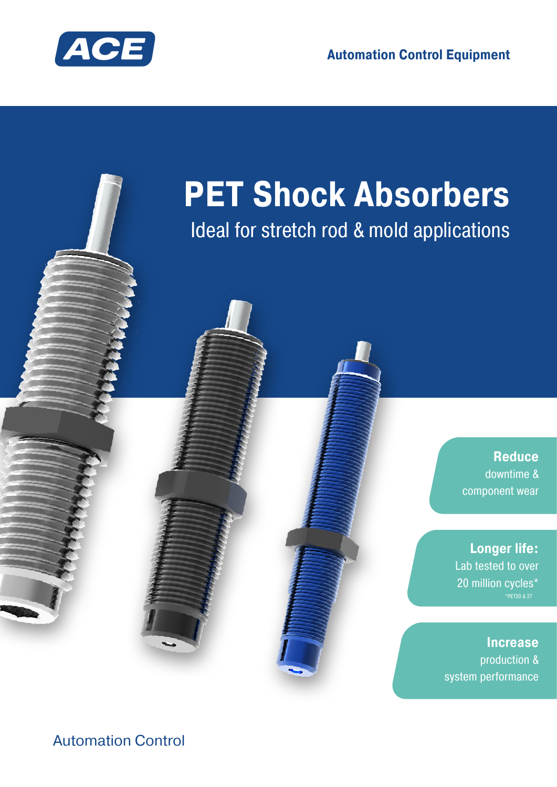**Automation Control Equipment**



# **PET Shock Absorbers**

Ideal for stretch rod & mold applications

**Reduce** downtime & component wear

**Longer life:** Lab tested to over 20 million cycles\*

**Increase** production & system performance

Automation Control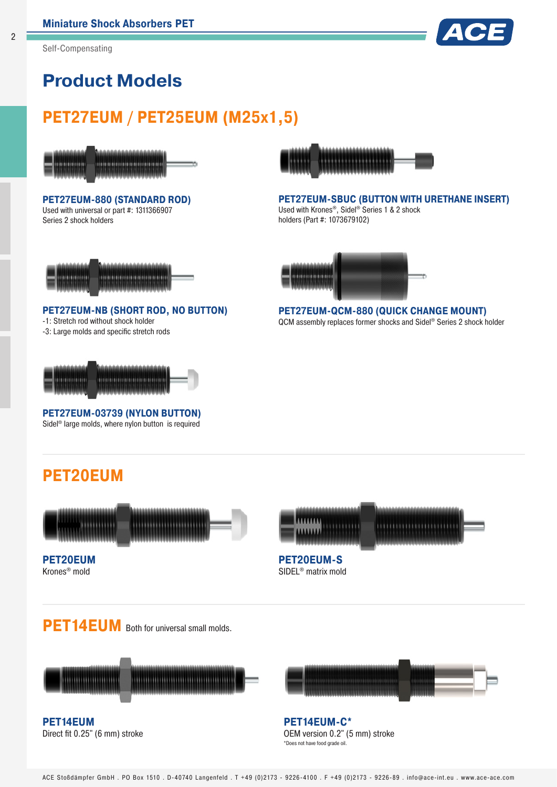

## **Product Models**

## **PET27EUM / PET25EUM (M25x1,5)**



**PET27EUM-880 (STANDARD ROD)** Used with universal or part #: 1311366907 Series 2 shock holders



**PET27EUM-SBUC (BUTTON WITH URETHANE INSERT)** Used with Krones®, Sidel® Series 1 & 2 shock holders (Part #: 1073679102)



**PET27EUM-NB (SHORT ROD, NO BUTTON)** -1: Stretch rod without shock holder -3: Large molds and specific stretch rods



**PET27EUM-03739 (NYLON BUTTON)** Sidel® large molds, where nylon button is required



**PET27EUM-QCM-880 (QUICK CHANGE MOUNT)** QCM assembly replaces former shocks and Sidel® Series 2 shock holder

## **PET20EUM**



**PET20EUM** Krones® mold



**PET20EUM-S** SIDEL® matrix mold





**PET14EUM** Direct fit 0.25" (6 mm) stroke



**PET14EUM-C\*** OEM version 0.2" (5 mm) stroke \*Does not have food grade oil.

2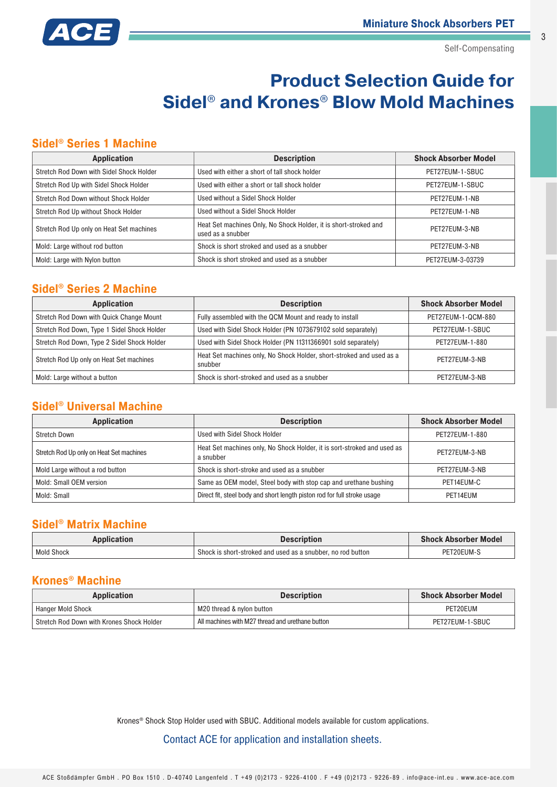

Self-Compensating

## **Product Selection Guide for Sidel**® **and Krones**® **Blow Mold Machines**

#### **Sidel® Series 1 Machine**

| <b>Application</b>                       | <b>Description</b>                                                                    | <b>Shock Absorber Model</b> |
|------------------------------------------|---------------------------------------------------------------------------------------|-----------------------------|
| Stretch Rod Down with Sidel Shock Holder | Used with either a short of tall shock holder                                         | PET27EUM-1-SBUC             |
| Stretch Rod Up with Sidel Shock Holder   | Used with either a short or tall shock holder                                         | PET27EUM-1-SBUC             |
| Stretch Rod Down without Shock Holder    | Used without a Sidel Shock Holder                                                     | PET27EUM-1-NB               |
| Stretch Rod Up without Shock Holder      | Used without a Sidel Shock Holder                                                     | PET27EUM-1-NB               |
| Stretch Rod Up only on Heat Set machines | Heat Set machines Only, No Shock Holder, it is short-stroked and<br>used as a snubber | PET27EUM-3-NB               |
| Mold: Large without rod button           | Shock is short stroked and used as a snubber                                          | PET27EUM-3-NB               |
| Mold: Large with Nylon button            | Shock is short stroked and used as a snubber                                          | PET27EUM-3-03739            |

#### **Sidel® Series 2 Machine**

| Application                                 | <b>Description</b>                                                              | <b>Shock Absorber Model</b> |
|---------------------------------------------|---------------------------------------------------------------------------------|-----------------------------|
| Stretch Rod Down with Quick Change Mount    | Fully assembled with the QCM Mount and ready to install                         | PET27EUM-1-QCM-880          |
| Stretch Rod Down, Type 1 Sidel Shock Holder | Used with Sidel Shock Holder (PN 1073679102 sold separately)                    | PET27EUM-1-SBUC             |
| Stretch Rod Down, Type 2 Sidel Shock Holder | Used with Sidel Shock Holder (PN 11311366901 sold separately)                   | PET27EUM-1-880              |
| Stretch Rod Up only on Heat Set machines    | Heat Set machines only, No Shock Holder, short-stroked and used as a<br>snubber | PET27EUM-3-NB               |
| Mold: Large without a button                | Shock is short-stroked and used as a snubber                                    | PET27EUM-3-NB               |

#### **Sidel® Universal Machine**

| <b>Application</b>                       | <b>Description</b>                                                                   | <b>Shock Absorber Model</b> |
|------------------------------------------|--------------------------------------------------------------------------------------|-----------------------------|
| <b>Stretch Down</b>                      | Used with Sidel Shock Holder                                                         | PET27EUM-1-880              |
| Stretch Rod Up only on Heat Set machines | Heat Set machines only, No Shock Holder, it is sort-stroked and used as<br>a snubber | PET27EUM-3-NB               |
| Mold Large without a rod button          | Shock is short-stroke and used as a snubber                                          | PET27EUM-3-NB               |
| Mold: Small OEM version                  | Same as OEM model, Steel body with stop cap and urethane bushing                     | PET14EUM-C                  |
| Mold: Small                              | Direct fit, steel body and short length piston rod for full stroke usage             | PET14EUM                    |

#### **Sidel® Matrix Machine**

| Application       | <b>Description</b>                                          | <b>Shock Absorber Model</b> |
|-------------------|-------------------------------------------------------------|-----------------------------|
| <b>Mold Shock</b> | Shock is short-stroked and used as a snubber, no rod button | PET20EUM-                   |

#### **Krones® Machine**

| Application                               | <b>Description</b>                               | <b>Shock Absorber Model</b> |
|-------------------------------------------|--------------------------------------------------|-----------------------------|
| Hanger Mold Shock                         | M20 thread & nylon button                        | PET20EUM                    |
| Stretch Rod Down with Krones Shock Holder | All machines with M27 thread and urethane button | PET27EUM-1-SBUC             |

Krones® Shock Stop Holder used with SBUC. Additional models available for custom applications.

#### Contact ACE for application and installation sheets.